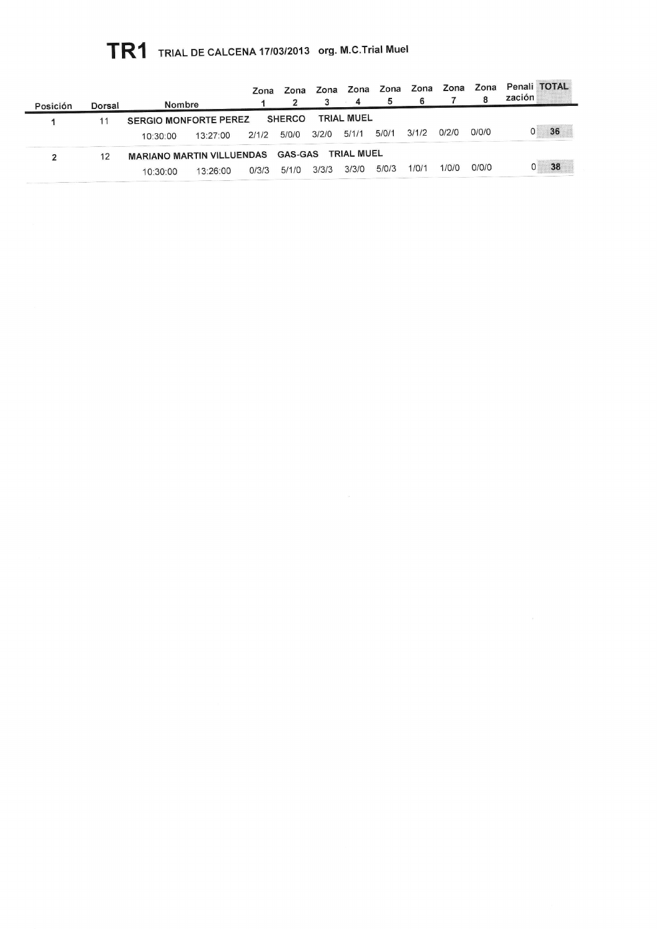## TR1 TRIAL DE CALCENA 17/03/2013 org. M.C.Trial Muel

| Posición | Dorsal | Nombre                                                                  |          | Zona  |               | Zona Zona | Zona<br>$-4$      | Zona  | Zona Zona<br>6 |       | Zona  | Penali TOTAL<br>zación |
|----------|--------|-------------------------------------------------------------------------|----------|-------|---------------|-----------|-------------------|-------|----------------|-------|-------|------------------------|
|          |        | <b>SERGIO MONFORTE PEREZ</b>                                            |          |       | <b>SHERCO</b> |           | <b>TRIAL MUEL</b> |       |                |       |       |                        |
|          |        | 10:30:00                                                                | 13.27:00 | 2/1/2 | 5/0/0         | 3/2/0     | 5/1/1             | 5/0/1 | 3/1/2          | 0/2/0 | 0/0/0 | 36                     |
| 2        | 12     | <b>TRIAL MUEL</b><br><b>GAS-GAS</b><br><b>MARIANO MARTIN VILLUENDAS</b> |          |       |               |           |                   |       |                |       |       |                        |
|          |        | 10:30:00                                                                | 13.26.00 | 0/3/3 | 5/1/0         | 3/3/3     | 3/3/0             | 5/0/3 | 1/0/1          | 1/0/0 | 0/0/0 | 38                     |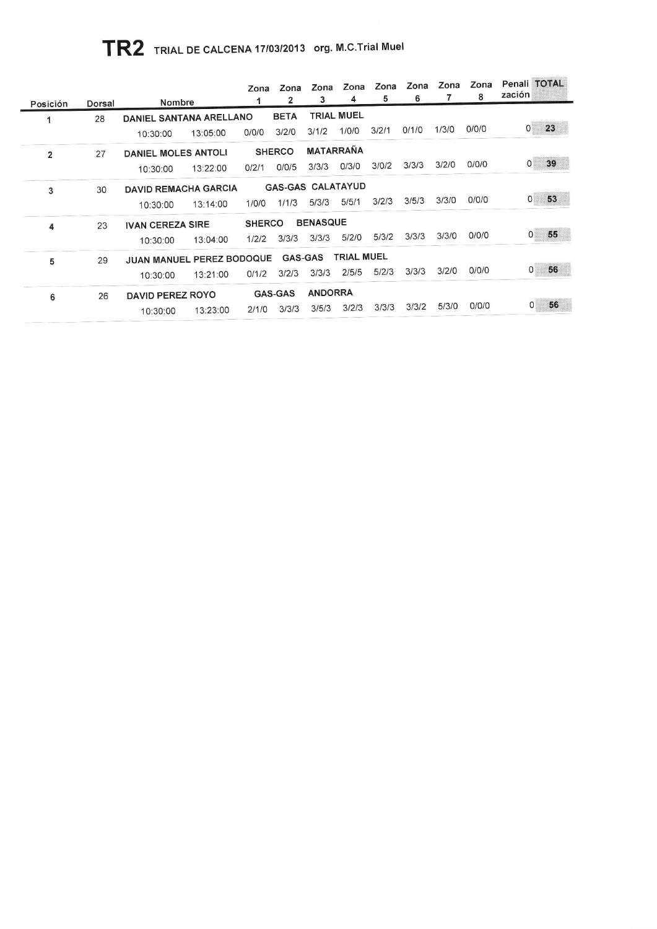## TR2 TRIAL DE CALCENA 17/03/2013 org. M.C.Trial Muel

|                |        | <b>Nombre</b>               | Zona          | Zona<br>2         | Zona<br>3        | Zona<br>4         | Zona<br>5 | Zona<br>6 | Zona  | Zona<br>8 | Penali TOTAL<br>zación |
|----------------|--------|-----------------------------|---------------|-------------------|------------------|-------------------|-----------|-----------|-------|-----------|------------------------|
| Posición       | Dorsal |                             |               |                   |                  |                   |           |           |       |           |                        |
|                | 28     | DANIEL SANTANA ARELLANO     |               | <b>BETA</b>       |                  | <b>TRIAL MUEL</b> |           |           |       |           |                        |
|                |        | 13:05:00<br>10:30:00        | 0/0/0         | 3/2/0             | 3/1/2            | 1/0/0             | 3/2/1     | 0/1/0     | 1/3/0 | 0/0/0     | 23<br>$\overline{0}$   |
| $\overline{2}$ | 27     | <b>DANIEL MOLES ANTOLI</b>  |               | <b>SHERCO</b>     | <b>MATARRAÑA</b> |                   |           |           |       |           |                        |
|                |        | 13:22:00<br>10:30:00        | 0/2/1         | 0/0/5             | 3/3/3            | 0/3/0             | 3/0/2     | 3/3/3     | 3/2/0 | 0/0/0     | 39<br>$\mathbf{0}$     |
|                | 30     | <b>DAVID REMACHA GARCIA</b> |               | GAS-GAS CALATAYUD |                  |                   |           |           |       |           |                        |
| 3              |        |                             |               |                   |                  |                   |           | 3/5/3     | 3/3/0 | 0/0/0     | 53<br>$\mathbf{O}$     |
|                |        | 13:14:00<br>10:30:00        | 1/0/0         | 1/1/3             | 5/3/3            | 5/5/1             | 3/2/3     |           |       |           |                        |
| 4              | 23     | <b>IVAN CEREZA SIRE</b>     | <b>SHERCO</b> |                   | <b>BENASQUE</b>  |                   |           |           |       |           |                        |
|                |        | 13:04:00<br>10:30:00        | 1/2/2         | 3/3/3             | 3/3/3            | 5/2/0             | 5/3/2     | 3/3/3     | 3/3/0 | 0/0/0     | 55<br>$\mathbf{0}$     |
| 5              | 29     | JUAN MANUEL PEREZ BODOQUE   |               | GAS-GAS           |                  | <b>TRIAL MUEL</b> |           |           |       |           |                        |
|                |        | 13:21:00                    | 0/1/2         | 3/2/3             | 3/3/3            | 2/5/5             | 5/2/3     | 3/3/3     | 3/2/0 | 0/0/0     | 56<br>0                |
|                |        | 10:30:00                    |               |                   |                  |                   |           |           |       |           |                        |
| 6              | 26     | <b>DAVID PEREZ ROYO</b>     |               | <b>GAS-GAS</b>    | <b>ANDORRA</b>   |                   |           |           |       |           |                        |
|                |        | 13:23:00<br>10:30:00        | 2/1/0         | 3/3/3             | 3/5/3            | 3/2/3             | 3/3/3     | 3/3/2     | 5/3/0 | 0/0/0     | 56<br>0                |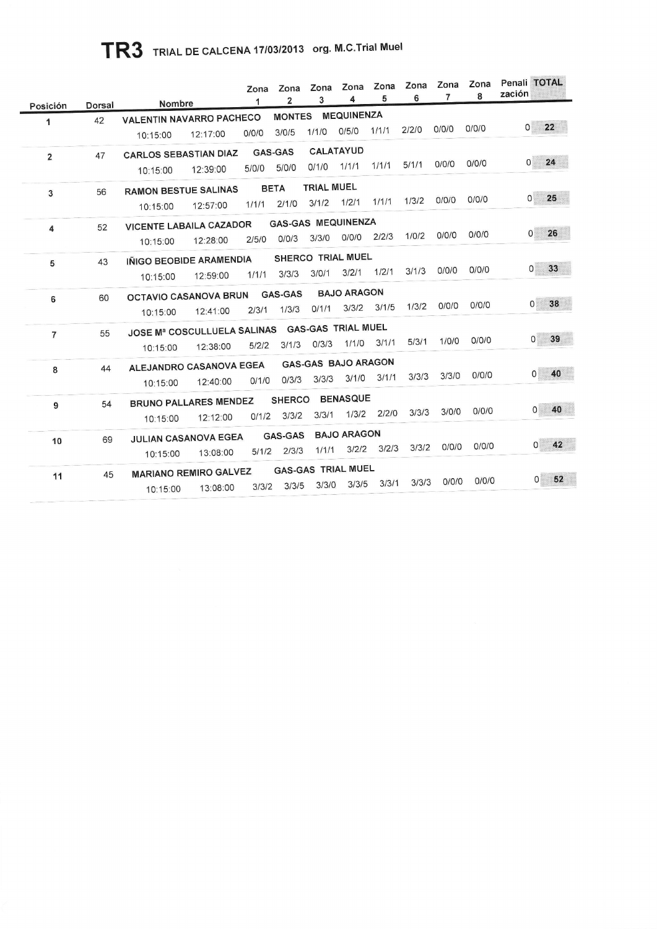## TR3 TRIAL DE CALCENA 17/03/2013 org. M.C.Trial Muel

|                |        |                                    | Zona  | Zona                      | Zona<br>3         | Zona<br>4                  | Zona<br>5 | Zona<br>6 | Zona<br>7 | Zona<br>8 | Penali TOTAL<br>zación          |
|----------------|--------|------------------------------------|-------|---------------------------|-------------------|----------------------------|-----------|-----------|-----------|-----------|---------------------------------|
| Posición       | Dorsal | Nombre                             | 1     | $\overline{\mathbf{2}}$   |                   |                            |           |           |           |           |                                 |
| 1              | 42     | <b>VALENTIN NAVARRO PACHECO</b>    |       | <b>MONTES</b>             |                   | <b>MEQUINENZA</b>          |           |           |           |           | 22<br>$\overline{0}$            |
|                |        | 12:17:00<br>10:15:00               | 0/0/0 | 3/0/5                     | 1/1/0             | 0/5/0                      | 1/1/1     | 2/2/0     | 0/0/0     | 0/0/0     |                                 |
| $\overline{2}$ | 47     | <b>CARLOS SEBASTIAN DIAZ</b>       |       | <b>GAS-GAS</b>            |                   | <b>CALATAYUD</b>           |           |           |           |           |                                 |
|                |        | 12:39:00<br>10:15:00               | 5/0/0 | 5/0/0                     | $0/1/0$ $1/1/1$   |                            | 1/1/1     | 5/1/1     | 0/0/0     | 0/0/0     | 24<br>$\overline{O}$            |
|                |        |                                    |       | <b>BETA</b>               | <b>TRIAL MUEL</b> |                            |           |           |           |           |                                 |
| 3              | 56     | <b>RAMON BESTUE SALINAS</b>        |       | 2/1/0                     | 3/1/2             | 1/2/1                      | 1/1/1     | 1/3/2     | 0/0/0     | 0/0/0     | 25<br>$\mathsf{O}^{\mathsf{S}}$ |
|                |        | 12:57:00<br>10:15:00               | 1/1/1 |                           |                   |                            |           |           |           |           |                                 |
| 4              | 52     | <b>VICENTE LABAILA CAZADOR</b>     |       | <b>GAS-GAS MEQUINENZA</b> |                   |                            |           |           |           |           | 26                              |
|                |        | 12:28:00<br>10:15:00               | 2/5/0 | 0/0/3                     | 3/3/0             | 0/0/0                      | 2/2/3     | 1/0/2     | 0/0/0     | 0/0/0     | $\mathbf{0}$                    |
| 5              | 43     | IÑIGO BEOBIDE ARAMENDIA            |       |                           |                   | SHERCO TRIAL MUEL          |           |           |           |           |                                 |
|                |        | 12:59:00<br>10:15:00               | 1/1/1 | 3/3/3                     | 3/0/1             | 3/2/1                      | 1/2/1     | 3/1/3     | 0/0/0     | 0/0/0     | 33<br>0                         |
|                |        |                                    |       | <b>GAS-GAS</b>            |                   | <b>BAJO ARAGON</b>         |           |           |           |           |                                 |
| 6              | 60     | <b>OCTAVIO CASANOVA BRUN</b>       |       | 1/3/3                     | 0/1/1             | 3/3/2                      | 3/1/5     | 1/3/2     | 0/0/0     | 0/0/0     | 38<br>$\mathsf{O}$              |
|                |        | 12:41:00<br>10:15:00               | 2/3/1 |                           |                   |                            |           |           |           |           |                                 |
| $\overline{7}$ | 55     | <b>JOSE Mª COSCULLUELA SALINAS</b> |       |                           |                   | <b>GAS-GAS TRIAL MUEL</b>  |           |           |           |           | 39<br>$\Omega$                  |
|                |        | 12:38:00<br>10:15:00               | 5/2/2 | 3/1/3                     | 0/3/3             | 1/1/0                      | 3/1/1     | 5/3/1     | 1/0/0     | 0/0/0     |                                 |
| 8              | 44     | ALEJANDRO CASANOVA EGEA            |       |                           |                   | <b>GAS-GAS BAJO ARAGON</b> |           |           |           |           |                                 |
|                |        | 12:40:00<br>10:15:00               | 0/1/0 | 0/3/3                     | 3/3/3             | 3/1/0                      | 3/1/1     | 3/3/3     | 3/3/0     | 0/0/0     | 40<br>$\mathbf{0}$              |
|                |        |                                    |       | <b>SHERCO</b>             |                   | <b>BENASQUE</b>            |           |           |           |           |                                 |
| 9              | 54     | <b>BRUNO PALLARES MENDEZ</b>       | 0/1/2 | 3/3/2                     | 3/3/1             | 1/3/2                      | 2/2/0     | 3/3/3     | 3/0/0     | 0/0/0     | 40<br>$\mathbf{0}$              |
|                |        | 12:12:00<br>10:15:00               |       |                           |                   |                            |           |           |           |           |                                 |
| 10             | 69     | JULIAN CASANOVA EGEA               |       | <b>GAS-GAS</b>            |                   | <b>BAJO ARAGON</b>         |           |           |           | O/O/O     | 42<br>0                         |
|                |        | 13:08:00<br>10:15:00               | 5/1/2 | 2/3/3                     | 1/1/1             | 3/2/2                      | 3/2/3     | 3/3/2     | 0/0/0     |           |                                 |
|                |        |                                    |       |                           |                   | <b>GAS-GAS TRIAL MUEL</b>  |           |           |           |           |                                 |
|                |        | 13:08:00<br>10:15:00               | 3/3/2 | 3/3/5                     | 3/3/0             | 3/3/5                      | 3/3/1     | 3/3/3     | 0/0/0     |           |                                 |
| 11             | 45     | <b>MARIANO REMIRO GALVEZ</b>       |       |                           |                   |                            |           |           |           | 0/0/0     | 52<br>$\mathbf{0}$              |